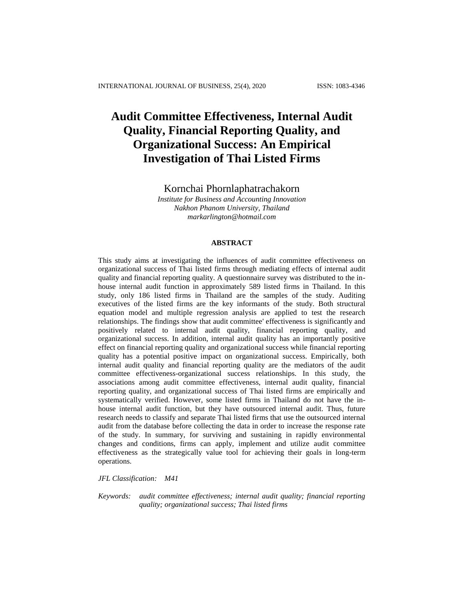# **Audit Committee Effectiveness, Internal Audit Quality, Financial Reporting Quality, and Organizational Success: An Empirical Investigation of Thai Listed Firms**

Kornchai Phornlaphatrachakorn

*Institute for Business and Accounting Innovation Nakhon Phanom University, Thailand [markarlington@hotmail.com](mailto:markarlington@hotmail.com)*

# **ABSTRACT**

This study aims at investigating the influences of audit committee effectiveness on organizational success of Thai listed firms through mediating effects of internal audit quality and financial reporting quality. A questionnaire survey was distributed to the inhouse internal audit function in approximately 589 listed firms in Thailand. In this study, only 186 listed firms in Thailand are the samples of the study. Auditing executives of the listed firms are the key informants of the study. Both structural equation model and multiple regression analysis are applied to test the research relationships. The findings show that audit committee' effectiveness is significantly and positively related to internal audit quality, financial reporting quality, and organizational success. In addition, internal audit quality has an importantly positive effect on financial reporting quality and organizational success while financial reporting quality has a potential positive impact on organizational success. Empirically, both internal audit quality and financial reporting quality are the mediators of the audit committee effectiveness-organizational success relationships. In this study, the associations among audit committee effectiveness, internal audit quality, financial reporting quality, and organizational success of Thai listed firms are empirically and systematically verified. However, some listed firms in Thailand do not have the inhouse internal audit function, but they have outsourced internal audit. Thus, future research needs to classify and separate Thai listed firms that use the outsourced internal audit from the database before collecting the data in order to increase the response rate of the study. In summary, for surviving and sustaining in rapidly environmental changes and conditions, firms can apply, implement and utilize audit committee effectiveness as the strategically value tool for achieving their goals in long-term operations.

*JFL Classification: M41*

*Keywords: audit committee effectiveness; internal audit quality; financial reporting quality; organizational success; Thai listed firms*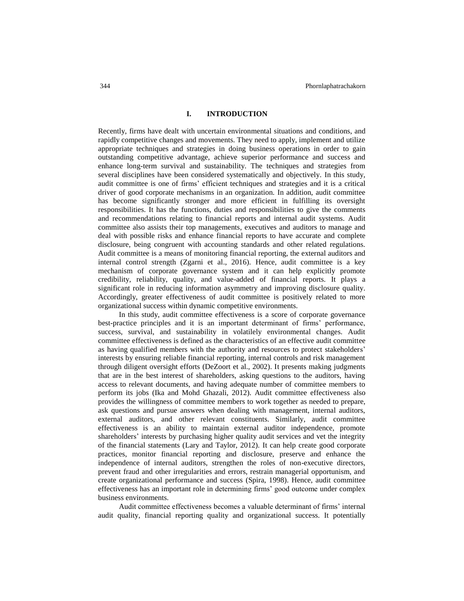#### **I. INTRODUCTION**

Recently, firms have dealt with uncertain environmental situations and conditions, and rapidly competitive changes and movements. They need to apply, implement and utilize appropriate techniques and strategies in doing business operations in order to gain outstanding competitive advantage, achieve superior performance and success and enhance long-term survival and sustainability. The techniques and strategies from several disciplines have been considered systematically and objectively. In this study, audit committee is one of firms' efficient techniques and strategies and it is a critical driver of good corporate mechanisms in an organization. In addition, audit committee has become significantly stronger and more efficient in fulfilling its oversight responsibilities. It has the functions, duties and responsibilities to give the comments and recommendations relating to financial reports and internal audit systems. Audit committee also assists their top managements, executives and auditors to manage and deal with possible risks and enhance financial reports to have accurate and complete disclosure, being congruent with accounting standards and other related regulations. Audit committee is a means of monitoring financial reporting, the external auditors and internal control strength (Zgarni et al., 2016). Hence, audit committee is a key mechanism of corporate governance system and it can help explicitly promote credibility, reliability, quality, and value-added of financial reports. It plays a significant role in reducing information asymmetry and improving disclosure quality. Accordingly, greater effectiveness of audit committee is positively related to more organizational success within dynamic competitive environments.

In this study, audit committee effectiveness is a score of corporate governance best-practice principles and it is an important determinant of firms' performance, success, survival, and sustainability in volatilely environmental changes. Audit committee effectiveness is defined as the characteristics of an effective audit committee as having qualified members with the authority and resources to protect stakeholders' interests by ensuring reliable financial reporting, internal controls and risk management through diligent oversight efforts (DeZoort et al., 2002). It presents making judgments that are in the best interest of shareholders, asking questions to the auditors, having access to relevant documents, and having adequate number of committee members to perform its jobs (Ika and Mohd Ghazali, 2012). Audit committee effectiveness also provides the willingness of committee members to work together as needed to prepare, ask questions and pursue answers when dealing with management, internal auditors, external auditors, and other relevant constituents. Similarly, audit committee effectiveness is an ability to maintain external auditor independence, promote shareholders' interests by purchasing higher quality audit services and vet the integrity of the financial statements (Lary and Taylor, 2012). It can help create good corporate practices, monitor financial reporting and disclosure, preserve and enhance the independence of internal auditors, strengthen the roles of non-executive directors, prevent fraud and other irregularities and errors, restrain managerial opportunism, and create organizational performance and success (Spira, 1998). Hence, audit committee effectiveness has an important role in determining firms' good outcome under complex business environments.

Audit committee effectiveness becomes a valuable determinant of firms' internal audit quality, financial reporting quality and organizational success. It potentially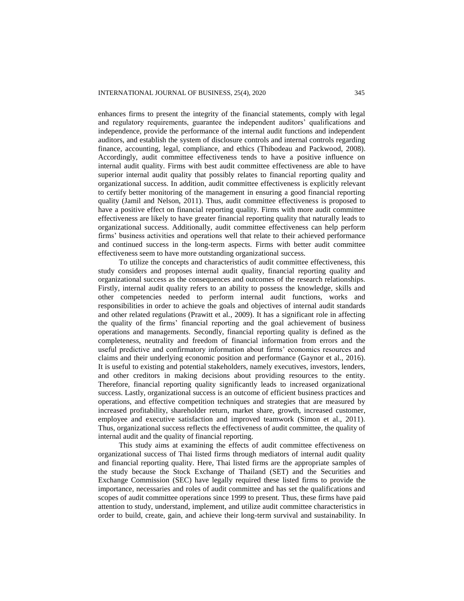enhances firms to present the integrity of the financial statements, comply with legal and regulatory requirements, guarantee the independent auditors' qualifications and independence, provide the performance of the internal audit functions and independent auditors, and establish the system of disclosure controls and internal controls regarding finance, accounting, legal, compliance, and ethics (Thibodeau and Packwood, 2008). Accordingly, audit committee effectiveness tends to have a positive influence on internal audit quality. Firms with best audit committee effectiveness are able to have superior internal audit quality that possibly relates to financial reporting quality and organizational success. In addition, audit committee effectiveness is explicitly relevant to certify better monitoring of the management in ensuring a good financial reporting quality (Jamil and Nelson, 2011). Thus, audit committee effectiveness is proposed to have a positive effect on financial reporting quality. Firms with more audit committee effectiveness are likely to have greater financial reporting quality that naturally leads to organizational success. Additionally, audit committee effectiveness can help perform firms' business activities and operations well that relate to their achieved performance and continued success in the long-term aspects. Firms with better audit committee effectiveness seem to have more outstanding organizational success.

To utilize the concepts and characteristics of audit committee effectiveness, this study considers and proposes internal audit quality, financial reporting quality and organizational success as the consequences and outcomes of the research relationships. Firstly, internal audit quality refers to an ability to possess the knowledge, skills and other competencies needed to perform internal audit functions, works and responsibilities in order to achieve the goals and objectives of internal audit standards and other related regulations (Prawitt et al., 2009). It has a significant role in affecting the quality of the firms' financial reporting and the goal achievement of business operations and managements. Secondly, financial reporting quality is defined as the completeness, neutrality and freedom of financial information from errors and the useful predictive and confirmatory information about firms' economics resources and claims and their underlying economic position and performance (Gaynor et al., 2016). It is useful to existing and potential stakeholders, namely executives, investors, lenders, and other creditors in making decisions about providing resources to the entity. Therefore, financial reporting quality significantly leads to increased organizational success. Lastly, organizational success is an outcome of efficient business practices and operations, and effective competition techniques and strategies that are measured by increased profitability, shareholder return, market share, growth, increased customer, employee and executive satisfaction and improved teamwork (Simon et al., 2011). Thus, organizational success reflects the effectiveness of audit committee, the quality of internal audit and the quality of financial reporting.

This study aims at examining the effects of audit committee effectiveness on organizational success of Thai listed firms through mediators of internal audit quality and financial reporting quality. Here, Thai listed firms are the appropriate samples of the study because the Stock Exchange of Thailand (SET) and the Securities and Exchange Commission (SEC) have legally required these listed firms to provide the importance, necessaries and roles of audit committee and has set the qualifications and scopes of audit committee operations since 1999 to present. Thus, these firms have paid attention to study, understand, implement, and utilize audit committee characteristics in order to build, create, gain, and achieve their long-term survival and sustainability. In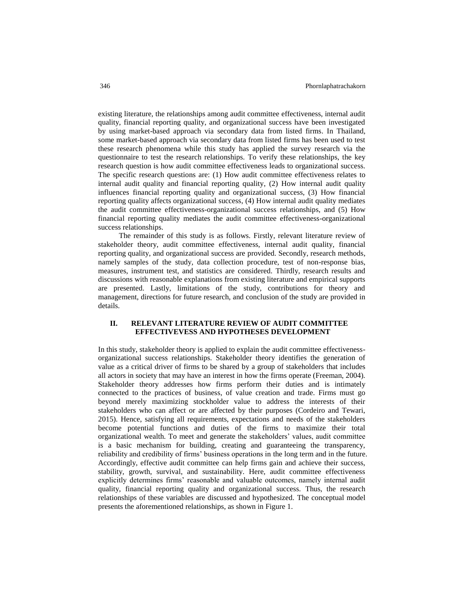existing literature, the relationships among audit committee effectiveness, internal audit quality, financial reporting quality, and organizational success have been investigated by using market-based approach via secondary data from listed firms. In Thailand, some market-based approach via secondary data from listed firms has been used to test these research phenomena while this study has applied the survey research via the questionnaire to test the research relationships. To verify these relationships, the key research question is how audit committee effectiveness leads to organizational success. The specific research questions are: (1) How audit committee effectiveness relates to internal audit quality and financial reporting quality, (2) How internal audit quality influences financial reporting quality and organizational success, (3) How financial reporting quality affects organizational success, (4) How internal audit quality mediates the audit committee effectiveness-organizational success relationships, and (5) How financial reporting quality mediates the audit committee effectiveness-organizational success relationships.

The remainder of this study is as follows. Firstly, relevant literature review of stakeholder theory, audit committee effectiveness, internal audit quality, financial reporting quality, and organizational success are provided. Secondly, research methods, namely samples of the study, data collection procedure, test of non-response bias, measures, instrument test, and statistics are considered. Thirdly, research results and discussions with reasonable explanations from existing literature and empirical supports are presented. Lastly, limitations of the study, contributions for theory and management, directions for future research, and conclusion of the study are provided in details.

# **II. RELEVANT LITERATURE REVIEW OF AUDIT COMMITTEE EFFECTIVEVESS AND HYPOTHESES DEVELOPMENT**

In this study, stakeholder theory is applied to explain the audit committee effectivenessorganizational success relationships. Stakeholder theory identifies the generation of value as a critical driver of firms to be shared by a group of stakeholders that includes all actors in society that may have an interest in how the firms operate (Freeman, 2004). Stakeholder theory addresses how firms perform their duties and is intimately connected to the practices of business, of value creation and trade. Firms must go beyond merely maximizing stockholder value to address the interests of their stakeholders who can affect or are affected by their purposes (Cordeiro and Tewari, 2015). Hence, satisfying all requirements, expectations and needs of the stakeholders become potential functions and duties of the firms to maximize their total organizational wealth. To meet and generate the stakeholders' values, audit committee is a basic mechanism for building, creating and guaranteeing the transparency, reliability and credibility of firms' business operations in the long term and in the future. Accordingly, effective audit committee can help firms gain and achieve their success, stability, growth, survival, and sustainability. Here, audit committee effectiveness explicitly determines firms' reasonable and valuable outcomes, namely internal audit quality, financial reporting quality and organizational success. Thus, the research relationships of these variables are discussed and hypothesized. The conceptual model presents the aforementioned relationships, as shown in Figure 1.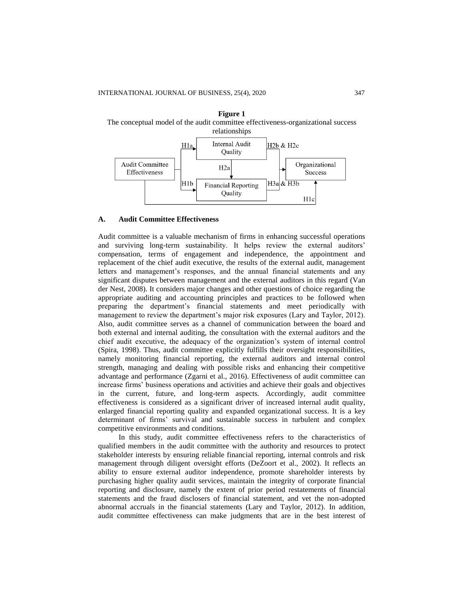



#### **A. Audit Committee Effectiveness**

Audit committee is a valuable mechanism of firms in enhancing successful operations and surviving long-term sustainability. It helps review the external auditors' compensation, terms of engagement and independence, the appointment and replacement of the chief audit executive, the results of the external audit, management letters and management's responses, and the annual financial statements and any significant disputes between management and the external auditors in this regard (Van der Nest, 2008). It considers major changes and other questions of choice regarding the appropriate auditing and accounting principles and practices to be followed when preparing the department's financial statements and meet periodically with management to review the department's major risk exposures (Lary and Taylor, 2012). Also, audit committee serves as a channel of communication between the board and both external and internal auditing, the consultation with the external auditors and the chief audit executive, the adequacy of the organization's system of internal control (Spira, 1998). Thus, audit committee explicitly fulfills their oversight responsibilities, namely monitoring financial reporting, the external auditors and internal control strength, managing and dealing with possible risks and enhancing their competitive advantage and performance (Zgarni et al., 2016). Effectiveness of audit committee can increase firms' business operations and activities and achieve their goals and objectives in the current, future, and long-term aspects. Accordingly, audit committee effectiveness is considered as a significant driver of increased internal audit quality, enlarged financial reporting quality and expanded organizational success. It is a key determinant of firms' survival and sustainable success in turbulent and complex competitive environments and conditions.

In this study, audit committee effectiveness refers to the characteristics of qualified members in the audit committee with the authority and resources to protect stakeholder interests by ensuring reliable financial reporting, internal controls and risk management through diligent oversight efforts (DeZoort et al., 2002). It reflects an ability to ensure external auditor independence, promote shareholder interests by purchasing higher quality audit services, maintain the integrity of corporate financial reporting and disclosure, namely the extent of prior period restatements of financial statements and the fraud disclosers of financial statement, and vet the non-adopted abnormal accruals in the financial statements (Lary and Taylor, 2012). In addition, audit committee effectiveness can make judgments that are in the best interest of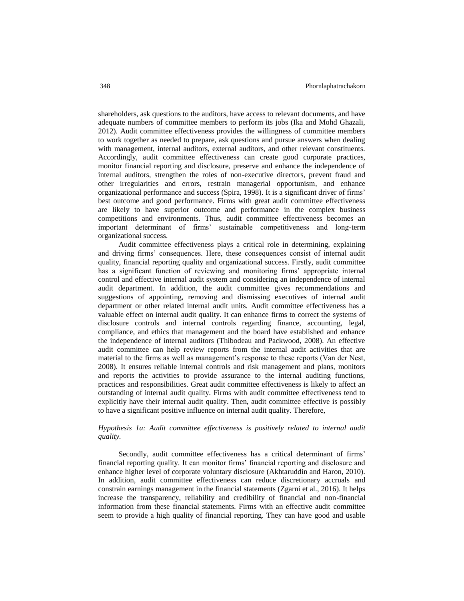shareholders, ask questions to the auditors, have access to relevant documents, and have adequate numbers of committee members to perform its jobs (Ika and Mohd Ghazali, 2012). Audit committee effectiveness provides the willingness of committee members to work together as needed to prepare, ask questions and pursue answers when dealing with management, internal auditors, external auditors, and other relevant constituents. Accordingly, audit committee effectiveness can create good corporate practices, monitor financial reporting and disclosure, preserve and enhance the independence of internal auditors, strengthen the roles of non-executive directors, prevent fraud and other irregularities and errors, restrain managerial opportunism, and enhance organizational performance and success (Spira, 1998). It is a significant driver of firms' best outcome and good performance. Firms with great audit committee effectiveness are likely to have superior outcome and performance in the complex business competitions and environments. Thus, audit committee effectiveness becomes an important determinant of firms' sustainable competitiveness and long-term organizational success.

Audit committee effectiveness plays a critical role in determining, explaining and driving firms' consequences. Here, these consequences consist of internal audit quality, financial reporting quality and organizational success. Firstly, audit committee has a significant function of reviewing and monitoring firms' appropriate internal control and effective internal audit system and considering an independence of internal audit department. In addition, the audit committee gives recommendations and suggestions of appointing, removing and dismissing executives of internal audit department or other related internal audit units. Audit committee effectiveness has a valuable effect on internal audit quality. It can enhance firms to correct the systems of disclosure controls and internal controls regarding finance, accounting, legal, compliance, and ethics that management and the board have established and enhance the independence of internal auditors (Thibodeau and Packwood, 2008). An effective audit committee can help review reports from the internal audit activities that are material to the firms as well as management's response to these reports (Van der Nest, 2008). It ensures reliable internal controls and risk management and plans, monitors and reports the activities to provide assurance to the internal auditing functions, practices and responsibilities. Great audit committee effectiveness is likely to affect an outstanding of internal audit quality. Firms with audit committee effectiveness tend to explicitly have their internal audit quality. Then, audit committee effective is possibly to have a significant positive influence on internal audit quality. Therefore,

# *Hypothesis 1a: Audit committee effectiveness is positively related to internal audit quality.*

Secondly, audit committee effectiveness has a critical determinant of firms' financial reporting quality. It can monitor firms' financial reporting and disclosure and enhance higher level of corporate voluntary disclosure (Akhtaruddin and Haron, 2010). In addition, audit committee effectiveness can reduce discretionary accruals and constrain earnings management in the financial statements (Zgarni et al., 2016). It helps increase the transparency, reliability and credibility of financial and non-financial information from these financial statements. Firms with an effective audit committee seem to provide a high quality of financial reporting. They can have good and usable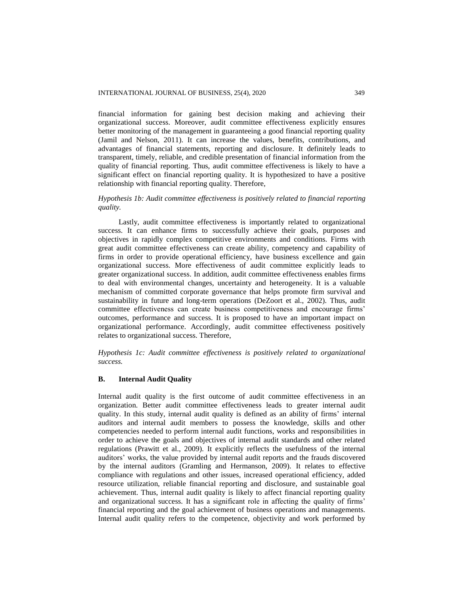financial information for gaining best decision making and achieving their organizational success. Moreover, audit committee effectiveness explicitly ensures better monitoring of the management in guaranteeing a good financial reporting quality (Jamil and Nelson, 2011). It can increase the values, benefits, contributions, and advantages of financial statements, reporting and disclosure. It definitely leads to transparent, timely, reliable, and credible presentation of financial information from the quality of financial reporting. Thus, audit committee effectiveness is likely to have a significant effect on financial reporting quality. It is hypothesized to have a positive relationship with financial reporting quality. Therefore,

# *Hypothesis 1b: Audit committee effectiveness is positively related to financial reporting quality.*

Lastly, audit committee effectiveness is importantly related to organizational success. It can enhance firms to successfully achieve their goals, purposes and objectives in rapidly complex competitive environments and conditions. Firms with great audit committee effectiveness can create ability, competency and capability of firms in order to provide operational efficiency, have business excellence and gain organizational success. More effectiveness of audit committee explicitly leads to greater organizational success. In addition, audit committee effectiveness enables firms to deal with environmental changes, uncertainty and heterogeneity. It is a valuable mechanism of committed corporate governance that helps promote firm survival and sustainability in future and long-term operations (DeZoort et al., 2002). Thus, audit committee effectiveness can create business competitiveness and encourage firms' outcomes, performance and success. It is proposed to have an important impact on organizational performance. Accordingly, audit committee effectiveness positively relates to organizational success. Therefore,

*Hypothesis 1c: Audit committee effectiveness is positively related to organizational success.*

# **B. Internal Audit Quality**

Internal audit quality is the first outcome of audit committee effectiveness in an organization. Better audit committee effectiveness leads to greater internal audit quality. In this study, internal audit quality is defined as an ability of firms' internal auditors and internal audit members to possess the knowledge, skills and other competencies needed to perform internal audit functions, works and responsibilities in order to achieve the goals and objectives of internal audit standards and other related regulations (Prawitt et al., 2009). It explicitly reflects the usefulness of the internal auditors' works, the value provided by internal audit reports and the frauds discovered by the internal auditors (Gramling and Hermanson, 2009). It relates to effective compliance with regulations and other issues, increased operational efficiency, added resource utilization, reliable financial reporting and disclosure, and sustainable goal achievement. Thus, internal audit quality is likely to affect financial reporting quality and organizational success. It has a significant role in affecting the quality of firms' financial reporting and the goal achievement of business operations and managements. Internal audit quality refers to the competence, objectivity and work performed by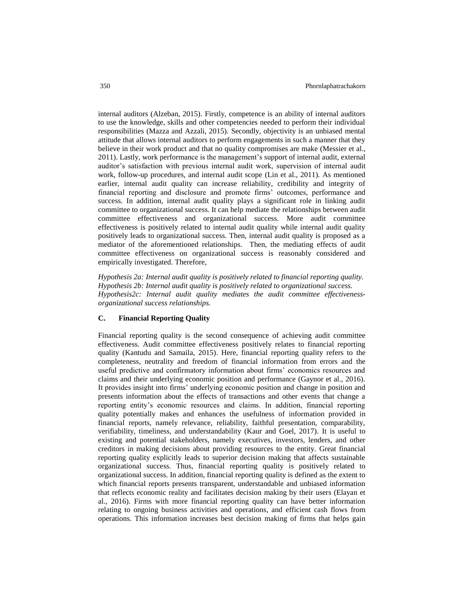internal auditors (Alzeban, 2015). Firstly, competence is an ability of internal auditors to use the knowledge, skills and other competencies needed to perform their individual responsibilities (Mazza and Azzali, 2015). Secondly, objectivity is an unbiased mental attitude that allows internal auditors to perform engagements in such a manner that they believe in their work product and that no quality compromises are make (Messier et al., 2011). Lastly, work performance is the management's support of internal audit, external auditor's satisfaction with previous internal audit work, supervision of internal audit work, follow-up procedures, and internal audit scope (Lin et al., 2011). As mentioned earlier, internal audit quality can increase reliability, credibility and integrity of financial reporting and disclosure and promote firms' outcomes, performance and success. In addition, internal audit quality plays a significant role in linking audit committee to organizational success. It can help mediate the relationships between audit committee effectiveness and organizational success. More audit committee effectiveness is positively related to internal audit quality while internal audit quality positively leads to organizational success. Then, internal audit quality is proposed as a mediator of the aforementioned relationships. Then, the mediating effects of audit committee effectiveness on organizational success is reasonably considered and empirically investigated. Therefore,

*Hypothesis 2a: Internal audit quality is positively related to financial reporting quality. Hypothesis 2b: Internal audit quality is positively related to organizational success. Hypothesis2c: Internal audit quality mediates the audit committee effectivenessorganizational success relationships.*

# **C. Financial Reporting Quality**

Financial reporting quality is the second consequence of achieving audit committee effectiveness. Audit committee effectiveness positively relates to financial reporting quality (Kantudu and Samaila, 2015). Here, financial reporting quality refers to the completeness, neutrality and freedom of financial information from errors and the useful predictive and confirmatory information about firms' economics resources and claims and their underlying economic position and performance (Gaynor et al., 2016). It provides insight into firms' underlying economic position and change in position and presents information about the effects of transactions and other events that change a reporting entity's economic resources and claims. In addition, financial reporting quality potentially makes and enhances the usefulness of information provided in financial reports, namely relevance, reliability, faithful presentation, comparability, verifiability, timeliness, and understandability (Kaur and Goel, 2017). It is useful to existing and potential stakeholders, namely executives, investors, lenders, and other creditors in making decisions about providing resources to the entity. Great financial reporting quality explicitly leads to superior decision making that affects sustainable organizational success. Thus, financial reporting quality is positively related to organizational success. In addition, financial reporting quality is defined as the extent to which financial reports presents transparent, understandable and unbiased information that reflects economic reality and facilitates decision making by their users (Elayan et al., 2016). Firms with more financial reporting quality can have better information relating to ongoing business activities and operations, and efficient cash flows from operations. This information increases best decision making of firms that helps gain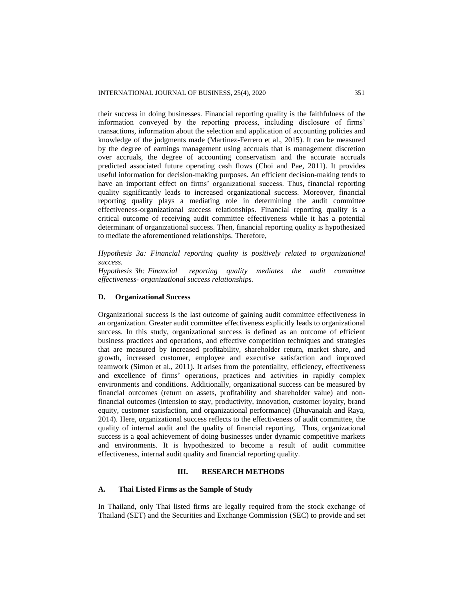their success in doing businesses. Financial reporting quality is the faithfulness of the information conveyed by the reporting process, including disclosure of firms' transactions, information about the selection and application of accounting policies and knowledge of the judgments made (Martinez-Ferrero et al., 2015). It can be measured by the degree of earnings management using accruals that is management discretion over accruals, the degree of accounting conservatism and the accurate accruals predicted associated future operating cash flows (Choi and Pae, 2011). It provides useful information for decision-making purposes. An efficient decision-making tends to have an important effect on firms' organizational success. Thus, financial reporting quality significantly leads to increased organizational success. Moreover, financial reporting quality plays a mediating role in determining the audit committee effectiveness-organizational success relationships. Financial reporting quality is a critical outcome of receiving audit committee effectiveness while it has a potential determinant of organizational success. Then, financial reporting quality is hypothesized to mediate the aforementioned relationships. Therefore,

*Hypothesis 3a: Financial reporting quality is positively related to organizational success.*

*Hypothesis 3b: Financial reporting quality mediates the audit committee effectiveness- organizational success relationships.*

## **D. Organizational Success**

Organizational success is the last outcome of gaining audit committee effectiveness in an organization. Greater audit committee effectiveness explicitly leads to organizational success. In this study, organizational success is defined as an outcome of efficient business practices and operations, and effective competition techniques and strategies that are measured by increased profitability, shareholder return, market share, and growth, increased customer, employee and executive satisfaction and improved teamwork (Simon et al., 2011). It arises from the potentiality, efficiency, effectiveness and excellence of firms' operations, practices and activities in rapidly complex environments and conditions. Additionally, organizational success can be measured by financial outcomes (return on assets, profitability and shareholder value) and nonfinancial outcomes (intension to stay, productivity, innovation, customer loyalty, brand equity, customer satisfaction, and organizational performance) (Bhuvanaiah and Raya, 2014). Here, organizational success reflects to the effectiveness of audit committee, the quality of internal audit and the quality of financial reporting. Thus, organizational success is a goal achievement of doing businesses under dynamic competitive markets and environments. It is hypothesized to become a result of audit committee effectiveness, internal audit quality and financial reporting quality.

# **III. RESEARCH METHODS**

#### **A. Thai Listed Firms as the Sample of Study**

In Thailand, only Thai listed firms are legally required from the stock exchange of Thailand (SET) and the Securities and Exchange Commission (SEC) to provide and set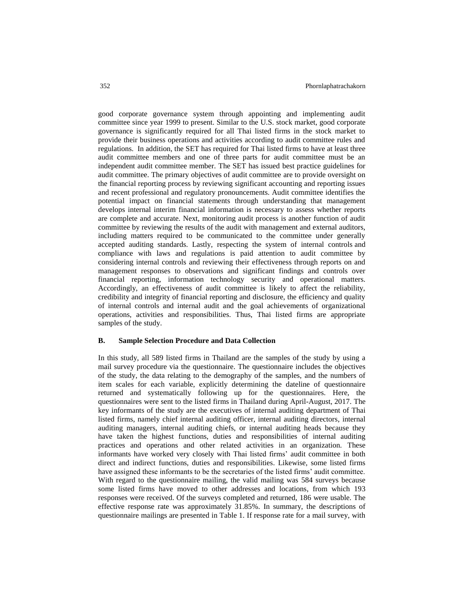good corporate governance system through appointing and implementing audit committee since year 1999 to present. Similar to the U.S. stock market, good corporate governance is significantly required for all Thai listed firms in the stock market to provide their business operations and activities according to audit committee rules and regulations. In addition, the SET has required for Thai listed firms to have at least three audit committee members and one of three parts for audit committee must be an independent audit committee member. The SET has issued best practice guidelines for audit committee. The primary objectives of audit committee are to provide oversight on the financial reporting process by reviewing significant accounting and reporting issues and recent professional and regulatory pronouncements. Audit committee identifies the potential impact on financial statements through understanding that management develops internal interim financial information is necessary to assess whether reports are complete and accurate. Next, monitoring audit process is another function of audit committee by reviewing the results of the audit with management and external auditors, including matters required to be communicated to the committee under generally accepted auditing standards. Lastly, respecting the system of internal controls and compliance with laws and regulations is paid attention to audit committee by considering internal controls and reviewing their effectiveness through reports on and management responses to observations and significant findings and controls over financial reporting, information technology security and operational matters. Accordingly, an effectiveness of audit committee is likely to affect the reliability, credibility and integrity of financial reporting and disclosure, the efficiency and quality of internal controls and internal audit and the goal achievements of organizational operations, activities and responsibilities. Thus, Thai listed firms are appropriate samples of the study.

#### **B. Sample Selection Procedure and Data Collection**

In this study, all 589 listed firms in Thailand are the samples of the study by using a mail survey procedure via the questionnaire. The questionnaire includes the objectives of the study, the data relating to the demography of the samples, and the numbers of item scales for each variable, explicitly determining the dateline of questionnaire returned and systematically following up for the questionnaires. Here, the questionnaires were sent to the listed firms in Thailand during April-August, 2017. The key informants of the study are the executives of internal auditing department of Thai listed firms, namely chief internal auditing officer, internal auditing directors, internal auditing managers, internal auditing chiefs, or internal auditing heads because they have taken the highest functions, duties and responsibilities of internal auditing practices and operations and other related activities in an organization. These informants have worked very closely with Thai listed firms' audit committee in both direct and indirect functions, duties and responsibilities. Likewise, some listed firms have assigned these informants to be the secretaries of the listed firms' audit committee. With regard to the questionnaire mailing, the valid mailing was 584 surveys because some listed firms have moved to other addresses and locations, from which 193 responses were received. Of the surveys completed and returned, 186 were usable. The effective response rate was approximately 31.85%. In summary, the descriptions of questionnaire mailings are presented in Table 1. If response rate for a mail survey, with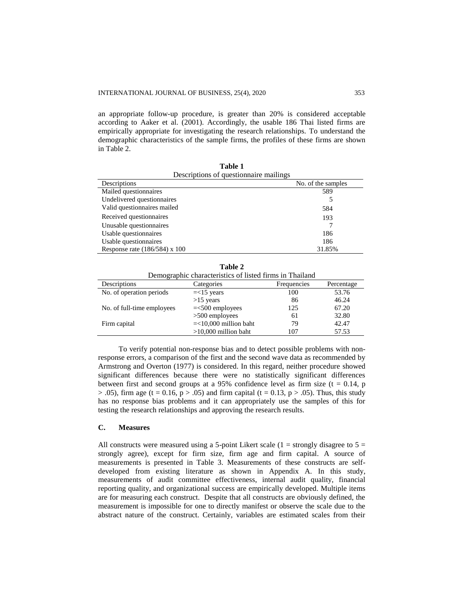an appropriate follow-up procedure, is greater than 20% is considered acceptable according to Aaker et al. (2001). Accordingly, the usable 186 Thai listed firms are empirically appropriate for investigating the research relationships. To understand the demographic characteristics of the sample firms, the profiles of these firms are shown in Table 2.

| Descriptions of question aire mailings |                    |
|----------------------------------------|--------------------|
| Descriptions                           | No. of the samples |
| Mailed questionnaires                  | 589                |
| Undelivered questionnaires             |                    |
| Valid questionnaires mailed            | 584                |
| Received questionnaires                | 193                |
| Unusable questionnaires                |                    |
| Usable questionnaires                  | 186                |
| Usable questionnaires                  | 186                |
| Response rate $(186/584)$ x 100        | 31.85%             |

**Table 1**

|                            | Table 2                                                 |             |            |
|----------------------------|---------------------------------------------------------|-------------|------------|
|                            | Demographic characteristics of listed firms in Thailand |             |            |
| Descriptions               | Categories                                              | Frequencies | Percentage |
| No. of operation periods   | $=<15$ years                                            | 100         | 53.76      |
|                            | $>15$ years                                             | 86          | 46.24      |
| No. of full-time employees | $=<500$ employees                                       | 125         | 67.20      |
|                            | $>500$ employees                                        | 61          | 32.80      |
| Firm capital               | $=<10,000$ million baht                                 | 79          | 42.47      |
|                            | $>10,000$ million baht                                  | 107         | 57.53      |

To verify potential non-response bias and to detect possible problems with nonresponse errors, a comparison of the first and the second wave data as recommended by Armstrong and Overton (1977) is considered. In this regard, neither procedure showed significant differences because there were no statistically significant differences between first and second groups at a 95% confidence level as firm size  $(t = 0.14, p$  $> .05$ ), firm age (t = 0.16, p  $> .05$ ) and firm capital (t = 0.13, p  $> .05$ ). Thus, this study has no response bias problems and it can appropriately use the samples of this for testing the research relationships and approving the research results.

#### **C. Measures**

All constructs were measured using a 5-point Likert scale  $(1 =$  strongly disagree to  $5 =$ strongly agree), except for firm size, firm age and firm capital. A source of measurements is presented in Table 3. Measurements of these constructs are selfdeveloped from existing literature as shown in Appendix A. In this study, measurements of audit committee effectiveness, internal audit quality, financial reporting quality, and organizational success are empirically developed. Multiple items are for measuring each construct. Despite that all constructs are obviously defined, the measurement is impossible for one to directly manifest or observe the scale due to the abstract nature of the construct. Certainly, variables are estimated scales from their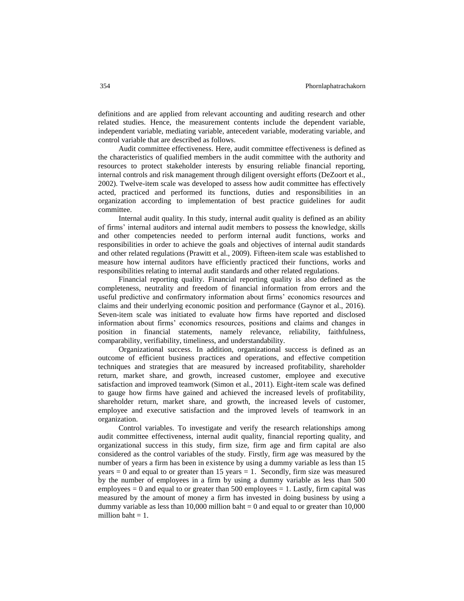definitions and are applied from relevant accounting and auditing research and other related studies. Hence, the measurement contents include the dependent variable, independent variable, mediating variable, antecedent variable, moderating variable, and control variable that are described as follows.

Audit committee effectiveness. Here, audit committee effectiveness is defined as the characteristics of qualified members in the audit committee with the authority and resources to protect stakeholder interests by ensuring reliable financial reporting, internal controls and risk management through diligent oversight efforts (DeZoort et al., 2002). Twelve-item scale was developed to assess how audit committee has effectively acted, practiced and performed its functions, duties and responsibilities in an organization according to implementation of best practice guidelines for audit committee.

Internal audit quality. In this study, internal audit quality is defined as an ability of firms' internal auditors and internal audit members to possess the knowledge, skills and other competencies needed to perform internal audit functions, works and responsibilities in order to achieve the goals and objectives of internal audit standards and other related regulations (Prawitt et al., 2009). Fifteen-item scale was established to measure how internal auditors have efficiently practiced their functions, works and responsibilities relating to internal audit standards and other related regulations.

Financial reporting quality. Financial reporting quality is also defined as the completeness, neutrality and freedom of financial information from errors and the useful predictive and confirmatory information about firms' economics resources and claims and their underlying economic position and performance (Gaynor et al., 2016). Seven-item scale was initiated to evaluate how firms have reported and disclosed information about firms' economics resources, positions and claims and changes in position in financial statements, namely relevance, reliability, faithfulness, comparability, verifiability, timeliness, and understandability.

Organizational success. In addition, organizational success is defined as an outcome of efficient business practices and operations, and effective competition techniques and strategies that are measured by increased profitability, shareholder return, market share, and growth, increased customer, employee and executive satisfaction and improved teamwork (Simon et al., 2011). Eight-item scale was defined to gauge how firms have gained and achieved the increased levels of profitability, shareholder return, market share, and growth, the increased levels of customer, employee and executive satisfaction and the improved levels of teamwork in an organization.

Control variables. To investigate and verify the research relationships among audit committee effectiveness, internal audit quality, financial reporting quality, and organizational success in this study, firm size, firm age and firm capital are also considered as the control variables of the study. Firstly, firm age was measured by the number of years a firm has been in existence by using a dummy variable as less than 15 years  $= 0$  and equal to or greater than 15 years  $= 1$ . Secondly, firm size was measured by the number of employees in a firm by using a dummy variable as less than 500 employees  $= 0$  and equal to or greater than 500 employees  $= 1$ . Lastly, firm capital was measured by the amount of money a firm has invested in doing business by using a dummy variable as less than 10,000 million baht  $= 0$  and equal to or greater than 10,000 million baht  $= 1$ .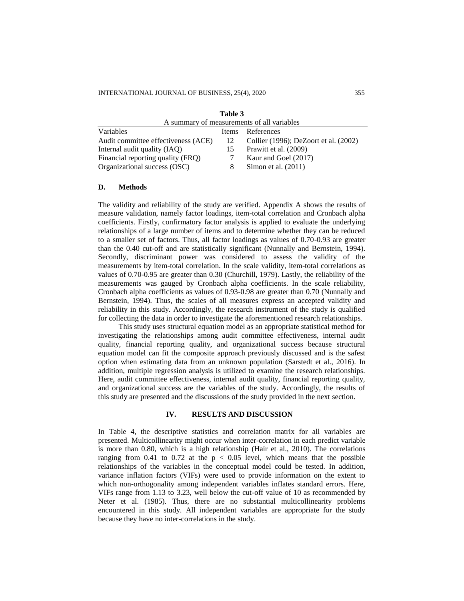|                                     | A summary of measurements of all variables |                                       |  |  |  |  |
|-------------------------------------|--------------------------------------------|---------------------------------------|--|--|--|--|
| Variables                           | Items                                      | References                            |  |  |  |  |
| Audit committee effectiveness (ACE) | -12                                        | Collier (1996); DeZoort et al. (2002) |  |  |  |  |
| Internal audit quality (IAO)        | 15                                         | Prawitt et al. (2009)                 |  |  |  |  |
| Financial reporting quality (FRQ)   |                                            | Kaur and Goel (2017)                  |  |  |  |  |
| Organizational success (OSC)        |                                            | Simon et al. $(2011)$                 |  |  |  |  |

| Table 3                                 |
|-----------------------------------------|
| A summary of measurements of all variab |

#### **D. Methods**

The validity and reliability of the study are verified. Appendix A shows the results of measure validation, namely factor loadings, item-total correlation and Cronbach alpha coefficients. Firstly, confirmatory factor analysis is applied to evaluate the underlying relationships of a large number of items and to determine whether they can be reduced to a smaller set of factors. Thus, all factor loadings as values of 0.70-0.93 are greater than the 0.40 cut-off and are statistically significant (Nunnally and Bernstein, 1994). Secondly, discriminant power was considered to assess the validity of the measurements by item-total correlation. In the scale validity, item-total correlations as values of 0.70-0.95 are greater than 0.30 (Churchill, 1979). Lastly, the reliability of the measurements was gauged by Cronbach alpha coefficients. In the scale reliability, Cronbach alpha coefficients as values of 0.93-0.98 are greater than 0.70 (Nunnally and Bernstein, 1994). Thus, the scales of all measures express an accepted validity and reliability in this study. Accordingly, the research instrument of the study is qualified for collecting the data in order to investigate the aforementioned research relationships.

This study uses structural equation model as an appropriate statistical method for investigating the relationships among audit committee effectiveness, internal audit quality, financial reporting quality, and organizational success because structural equation model can fit the composite approach previously discussed and is the safest option when estimating data from an unknown population (Sarstedt et al., 2016). In addition, multiple regression analysis is utilized to examine the research relationships. Here, audit committee effectiveness, internal audit quality, financial reporting quality, and organizational success are the variables of the study. Accordingly, the results of this study are presented and the discussions of the study provided in the next section.

#### **IV. RESULTS AND DISCUSSION**

In Table 4, the descriptive statistics and correlation matrix for all variables are presented. Multicollinearity might occur when inter-correlation in each predict variable is more than 0.80, which is a high relationship (Hair et al., 2010). The correlations ranging from 0.41 to 0.72 at the  $p < 0.05$  level, which means that the possible relationships of the variables in the conceptual model could be tested. In addition, variance inflation factors (VIFs) were used to provide information on the extent to which non-orthogonality among independent variables inflates standard errors. Here, VIFs range from 1.13 to 3.23, well below the cut-off value of 10 as recommended by Neter et al. (1985). Thus, there are no substantial multicollinearity problems encountered in this study. All independent variables are appropriate for the study because they have no inter-correlations in the study.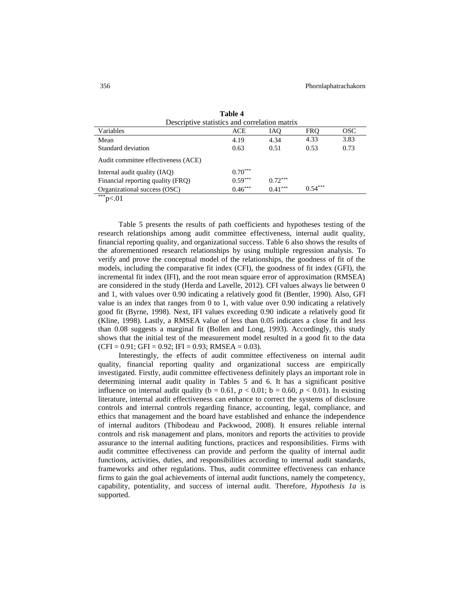| Descriptive statistics and correlation matrix |           |           |            |            |
|-----------------------------------------------|-----------|-----------|------------|------------|
| Variables                                     | ACE       | IAQ       | <b>FRO</b> | <b>OSC</b> |
| Mean                                          | 4.19      | 4.34      | 4.33       | 3.83       |
| Standard deviation                            | 0.63      | 0.51      | 0.53       | 0.73       |
| Audit committee effectiveness (ACE)           |           |           |            |            |
| Internal audit quality (IAQ)                  | $0.70***$ |           |            |            |
| Financial reporting quality (FRQ)             | $0.59***$ | $0.72***$ |            |            |
| Organizational success (OSC)                  | $0.46***$ | $0.41***$ | $0.54***$  |            |

**Table 4**

 $**p<.01$ 

Table 5 presents the results of path coefficients and hypotheses testing of the research relationships among audit committee effectiveness, internal audit quality, financial reporting quality, and organizational success. Table 6 also shows the results of the aforementioned research relationships by using multiple regression analysis. To verify and prove the conceptual model of the relationships, the goodness of fit of the models, including the comparative fit index (CFI), the goodness of fit index (GFI), the incremental fit index (IFI), and the root mean square error of approximation (RMSEA) are considered in the study (Herda and Lavelle, 2012). CFI values always lie between 0 and 1, with values over 0.90 indicating a relatively good fit (Bentler, 1990). Also, GFI value is an index that ranges from 0 to 1, with value over 0.90 indicating a relatively good fit (Byrne, 1998). Next, IFI values exceeding 0.90 indicate a relatively good fit (Kline, 1998). Lastly, a RMSEA value of less than 0.05 indicates a close fit and less than 0.08 suggests a marginal fit (Bollen and Long, 1993). Accordingly, this study shows that the initial test of the measurement model resulted in a good fit to the data  $(CFI = 0.91; GFI = 0.92; IFI = 0.93; RMSEA = 0.03).$ 

Interestingly, the effects of audit committee effectiveness on internal audit quality, financial reporting quality and organizational success are empirically investigated. Firstly, audit committee effectiveness definitely plays an important role in determining internal audit quality in Tables 5 and 6. It has a significant positive influence on internal audit quality ( $b = 0.61$ ,  $p < 0.01$ ;  $b = 0.60$ ,  $p < 0.01$ ). In existing literature, internal audit effectiveness can enhance to correct the systems of disclosure controls and internal controls regarding finance, accounting, legal, compliance, and ethics that management and the board have established and enhance the independence of internal auditors (Thibodeau and Packwood, 2008). It ensures reliable internal controls and risk management and plans, monitors and reports the activities to provide assurance to the internal auditing functions, practices and responsibilities. Firms with audit committee effectiveness can provide and perform the quality of internal audit functions, activities, duties, and responsibilities according to internal audit standards, frameworks and other regulations. Thus, audit committee effectiveness can enhance firms to gain the goal achievements of internal audit functions, namely the competency, capability, potentiality, and success of internal audit. Therefore*, Hypothesis 1a* is supported.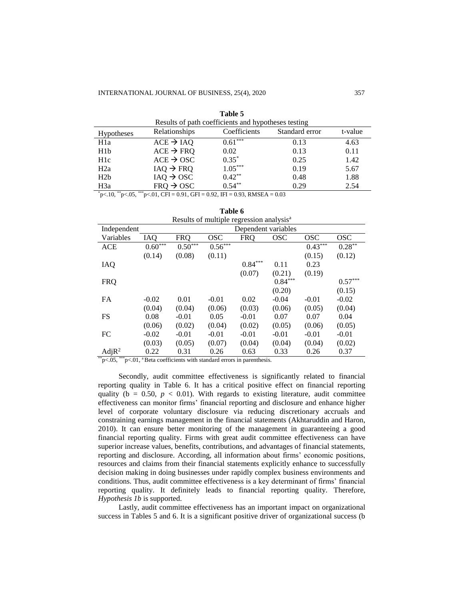| Results of path coefficients and hypotheses testing |  |  |  |  |  |
|-----------------------------------------------------|--|--|--|--|--|
| Standard error<br>t-value                           |  |  |  |  |  |
| 4.63<br>0.13                                        |  |  |  |  |  |
| 0.13<br>0.11                                        |  |  |  |  |  |
| 0.25<br>1.42                                        |  |  |  |  |  |
| 0.19<br>5.67                                        |  |  |  |  |  |
| 1.88<br>0.48                                        |  |  |  |  |  |
| 0.29<br>2.54                                        |  |  |  |  |  |
|                                                     |  |  |  |  |  |

|  |  | Table 5 |  |  |  |  |  |
|--|--|---------|--|--|--|--|--|
|  |  |         |  |  |  |  |  |

 $p<sub>1</sub>$ ,  $p<sub>1</sub>$ ,  $p<sub>2</sub>$ ,  $p<sub>3</sub>$ ,  $p<sub>4</sub>$ ,  $p<sub>5</sub>$ ,  $p<sub>6</sub>$ ,  $p<sub>7</sub>$ ,  $p<sub>8</sub>$ ,  $p<sub>7</sub>$ ,  $p<sub>8</sub>$ ,  $p<sub>9</sub>$ ,  $p<sub>1</sub>$ ,  $p<sub>1</sub>$ ,  $p<sub>1</sub>$ ,  $p<sub>1</sub>$ ,  $p<sub>1</sub>$ ,  $p<sub>1</sub>$ ,  $p$ 

|                   |            |            |            | Results of multiple regression analysis <sup>a</sup> |            |            |            |
|-------------------|------------|------------|------------|------------------------------------------------------|------------|------------|------------|
| Independent       |            |            |            | Dependent variables                                  |            |            |            |
| Variables         | <b>IAO</b> | <b>FRQ</b> | <b>OSC</b> | <b>FRQ</b>                                           | <b>OSC</b> | <b>OSC</b> | <b>OSC</b> |
| <b>ACE</b>        | $0.60***$  | $0.50***$  | $0.56***$  |                                                      |            | $0.43***$  | $0.28***$  |
|                   | (0.14)     | (0.08)     | (0.11)     |                                                      |            | (0.15)     | (0.12)     |
| IAQ               |            |            |            | $0.84***$                                            | 0.11       | 0.23       |            |
|                   |            |            |            | (0.07)                                               | (0.21)     | (0.19)     |            |
| <b>FRQ</b>        |            |            |            |                                                      | $0.84***$  |            | $0.57***$  |
|                   |            |            |            |                                                      | (0.20)     |            | (0.15)     |
| <b>FA</b>         | $-0.02$    | 0.01       | $-0.01$    | 0.02                                                 | $-0.04$    | $-0.01$    | $-0.02$    |
|                   | (0.04)     | (0.04)     | (0.06)     | (0.03)                                               | (0.06)     | (0.05)     | (0.04)     |
| <b>FS</b>         | 0.08       | $-0.01$    | 0.05       | $-0.01$                                              | 0.07       | 0.07       | 0.04       |
|                   | (0.06)     | (0.02)     | (0.04)     | (0.02)                                               | (0.05)     | (0.06)     | (0.05)     |
| FC                | $-0.02$    | $-0.01$    | $-0.01$    | $-0.01$                                              | $-0.01$    | $-0.01$    | $-0.01$    |
|                   | (0.03)     | (0.05)     | (0.07)     | (0.04)                                               | (0.04)     | (0.04)     | (0.02)     |
| AdjR <sup>2</sup> | 0.22       | 0.31       | 0.26       | 0.63                                                 | 0.33       | 0.26       | 0.37       |

**Table 6**

 $*_{p<-0.05}$ ,  $*_{p<-0.1}$ , a Beta coefficients with standard errors in parenthesis.

Secondly, audit committee effectiveness is significantly related to financial reporting quality in Table 6. It has a critical positive effect on financial reporting quality ( $b = 0.50$ ,  $p < 0.01$ ). With regards to existing literature, audit committee effectiveness can monitor firms' financial reporting and disclosure and enhance higher level of corporate voluntary disclosure via reducing discretionary accruals and constraining earnings management in the financial statements (Akhtaruddin and Haron, 2010). It can ensure better monitoring of the management in guaranteeing a good financial reporting quality. Firms with great audit committee effectiveness can have superior increase values, benefits, contributions, and advantages of financial statements, reporting and disclosure. According, all information about firms' economic positions, resources and claims from their financial statements explicitly enhance to successfully decision making in doing businesses under rapidly complex business environments and conditions. Thus, audit committee effectiveness is a key determinant of firms' financial reporting quality. It definitely leads to financial reporting quality. Therefore, *Hypothesis 1b* is supported.

Lastly, audit committee effectiveness has an important impact on organizational success in Tables 5 and 6. It is a significant positive driver of organizational success (b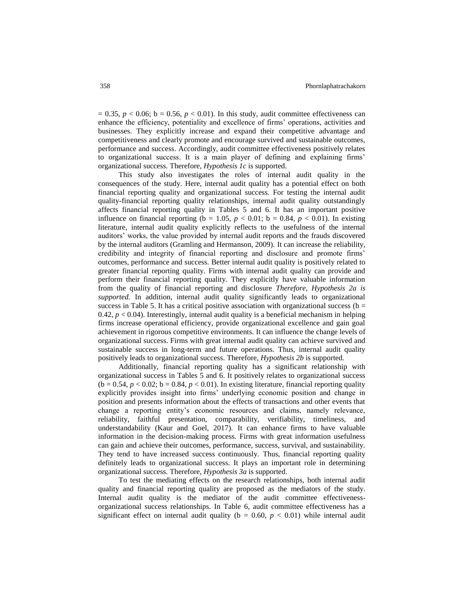$= 0.35$ ,  $p < 0.06$ ;  $b = 0.56$ ,  $p < 0.01$ ). In this study, audit committee effectiveness can enhance the efficiency, potentiality and excellence of firms' operations, activities and businesses. They explicitly increase and expand their competitive advantage and competitiveness and clearly promote and encourage survived and sustainable outcomes, performance and success. Accordingly, audit committee effectiveness positively relates to organizational success. It is a main player of defining and explaining firms' organizational success. Therefore, *Hypothesis 1c* is supported.

This study also investigates the roles of internal audit quality in the consequences of the study. Here, internal audit quality has a potential effect on both financial reporting quality and organizational success. For testing the internal audit quality-financial reporting quality relationships, internal audit quality outstandingly affects financial reporting quality in Tables 5 and 6. It has an important positive influence on financial reporting (b = 1.05,  $p < 0.01$ ; b = 0.84,  $p < 0.01$ ). In existing literature, internal audit quality explicitly reflects to the usefulness of the internal auditors' works, the value provided by internal audit reports and the frauds discovered by the internal auditors (Gramling and Hermanson, 2009). It can increase the reliability, credibility and integrity of financial reporting and disclosure and promote firms' outcomes, performance and success. Better internal audit quality is positively related to greater financial reporting quality. Firms with internal audit quality can provide and perform their financial reporting quality. They explicitly have valuable information from the quality of financial reporting and disclosure *Therefore, Hypothesis 2a is supported.* In addition, internal audit quality significantly leads to organizational success in Table 5. It has a critical positive association with organizational success ( $b =$ 0.42,  $p < 0.04$ ). Interestingly, internal audit quality is a beneficial mechanism in helping firms increase operational efficiency, provide organizational excellence and gain goal achievement in rigorous competitive environments. It can influence the change levels of organizational success. Firms with great internal audit quality can achieve survived and sustainable success in long-term and future operations. Thus, internal audit quality positively leads to organizational success. Therefore, *Hypothesis 2b* is supported*.*

Additionally, financial reporting quality has a significant relationship with organizational success in Tables 5 and 6. It positively relates to organizational success  $(b = 0.54, p < 0.02; b = 0.84, p < 0.01)$ . In existing literature, financial reporting quality explicitly provides insight into firms' underlying economic position and change in position and presents information about the effects of transactions and other events that change a reporting entity's economic resources and claims, namely relevance, reliability, faithful presentation, comparability, verifiability, timeliness, and understandability (Kaur and Goel, 2017). It can enhance firms to have valuable information in the decision-making process. Firms with great information usefulness can gain and achieve their outcomes, performance, success, survival, and sustainability. They tend to have increased success continuously. Thus, financial reporting quality definitely leads to organizational success. It plays an important role in determining organizational success. Therefore, *Hypothesis 3a* is supported.

To test the mediating effects on the research relationships, both internal audit quality and financial reporting quality are proposed as the mediators of the study. Internal audit quality is the mediator of the audit committee effectivenessorganizational success relationships. In Table 6, audit committee effectiveness has a significant effect on internal audit quality ( $b = 0.60$ ,  $p < 0.01$ ) while internal audit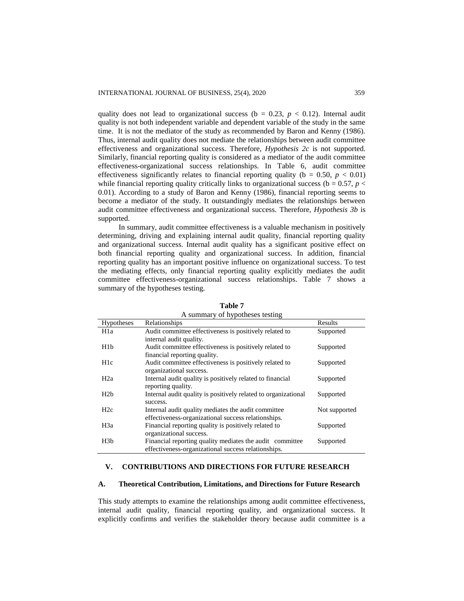quality does not lead to organizational success ( $b = 0.23$ ,  $p < 0.12$ ). Internal audit quality is not both independent variable and dependent variable of the study in the same time. It is not the mediator of the study as recommended by Baron and Kenny (1986). Thus, internal audit quality does not mediate the relationships between audit committee effectiveness and organizational success. Therefore, *Hypothesis 2c* is not supported. Similarly, financial reporting quality is considered as a mediator of the audit committee effectiveness-organizational success relationships. In Table 6, audit committee effectiveness significantly relates to financial reporting quality ( $b = 0.50$ ,  $p < 0.01$ ) while financial reporting quality critically links to organizational success ( $b = 0.57$ ,  $p <$ 0.01). According to a study of Baron and Kenny (1986), financial reporting seems to become a mediator of the study. It outstandingly mediates the relationships between audit committee effectiveness and organizational success. Therefore, *Hypothesis 3b* is supported.

In summary, audit committee effectiveness is a valuable mechanism in positively determining, driving and explaining internal audit quality, financial reporting quality and organizational success. Internal audit quality has a significant positive effect on both financial reporting quality and organizational success. In addition, financial reporting quality has an important positive influence on organizational success. To test the mediating effects, only financial reporting quality explicitly mediates the audit committee effectiveness-organizational success relationships. Table 7 shows a summary of the hypotheses testing.

|                  | A summary of hypotheses testing                                |               |
|------------------|----------------------------------------------------------------|---------------|
| Hypotheses       | Relationships                                                  | Results       |
| H <sub>1</sub> a | Audit committee effectiveness is positively related to         | Supported     |
|                  | internal audit quality.                                        |               |
| H1b              | Audit committee effectiveness is positively related to         | Supported     |
|                  | financial reporting quality.                                   |               |
| H <sub>1</sub> c | Audit committee effectiveness is positively related to         | Supported     |
|                  | organizational success.                                        |               |
| H <sub>2</sub> a | Internal audit quality is positively related to financial      | Supported     |
|                  | reporting quality.                                             |               |
| H <sub>2</sub> b | Internal audit quality is positively related to organizational | Supported     |
|                  | success.                                                       |               |
| H2c              | Internal audit quality mediates the audit committee            | Not supported |
|                  | effectiveness-organizational success relationships.            |               |
| H <sub>3</sub> a | Financial reporting quality is positively related to           | Supported     |
|                  | organizational success.                                        |               |
| H3b              | Financial reporting quality mediates the audit committee       | Supported     |
|                  | effectiveness-organizational success relationships.            |               |

**Table 7**

# **V. CONTRIBUTIONS AND DIRECTIONS FOR FUTURE RESEARCH**

#### **A. Theoretical Contribution, Limitations, and Directions for Future Research**

This study attempts to examine the relationships among audit committee effectiveness, internal audit quality, financial reporting quality, and organizational success. It explicitly confirms and verifies the stakeholder theory because audit committee is a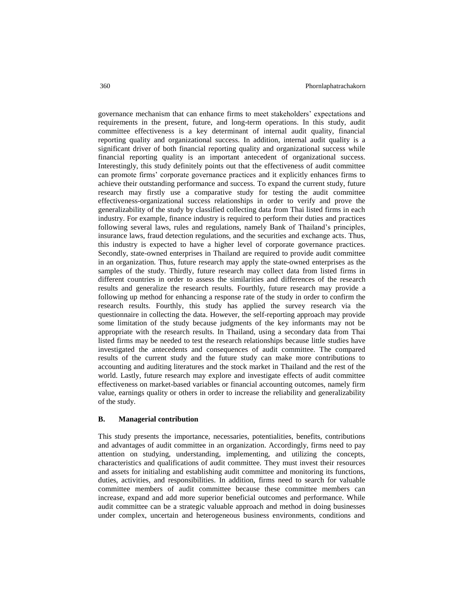governance mechanism that can enhance firms to meet stakeholders' expectations and requirements in the present, future, and long-term operations. In this study, audit committee effectiveness is a key determinant of internal audit quality, financial reporting quality and organizational success. In addition, internal audit quality is a significant driver of both financial reporting quality and organizational success while financial reporting quality is an important antecedent of organizational success. Interestingly, this study definitely points out that the effectiveness of audit committee can promote firms' corporate governance practices and it explicitly enhances firms to achieve their outstanding performance and success. To expand the current study, future research may firstly use a comparative study for testing the audit committee effectiveness-organizational success relationships in order to verify and prove the generalizability of the study by classified collecting data from Thai listed firms in each industry. For example, finance industry is required to perform their duties and practices following several laws, rules and regulations, namely Bank of Thailand's principles, insurance laws, fraud detection regulations, and the securities and exchange acts. Thus, this industry is expected to have a higher level of corporate governance practices. Secondly, state-owned enterprises in Thailand are required to provide audit committee in an organization. Thus, future research may apply the state-owned enterprises as the samples of the study. Thirdly, future research may collect data from listed firms in different countries in order to assess the similarities and differences of the research results and generalize the research results. Fourthly, future research may provide a following up method for enhancing a response rate of the study in order to confirm the research results. Fourthly, this study has applied the survey research via the questionnaire in collecting the data. However, the self-reporting approach may provide some limitation of the study because judgments of the key informants may not be appropriate with the research results. In Thailand, using a secondary data from Thai listed firms may be needed to test the research relationships because little studies have investigated the antecedents and consequences of audit committee. The compared results of the current study and the future study can make more contributions to accounting and auditing literatures and the stock market in Thailand and the rest of the world. Lastly, future research may explore and investigate effects of audit committee effectiveness on market-based variables or financial accounting outcomes, namely firm value, earnings quality or others in order to increase the reliability and generalizability of the study.

#### **B. Managerial contribution**

This study presents the importance, necessaries, potentialities, benefits, contributions and advantages of audit committee in an organization. Accordingly, firms need to pay attention on studying, understanding, implementing, and utilizing the concepts, characteristics and qualifications of audit committee. They must invest their resources and assets for initialing and establishing audit committee and monitoring its functions, duties, activities, and responsibilities. In addition, firms need to search for valuable committee members of audit committee because these committee members can increase, expand and add more superior beneficial outcomes and performance. While audit committee can be a strategic valuable approach and method in doing businesses under complex, uncertain and heterogeneous business environments, conditions and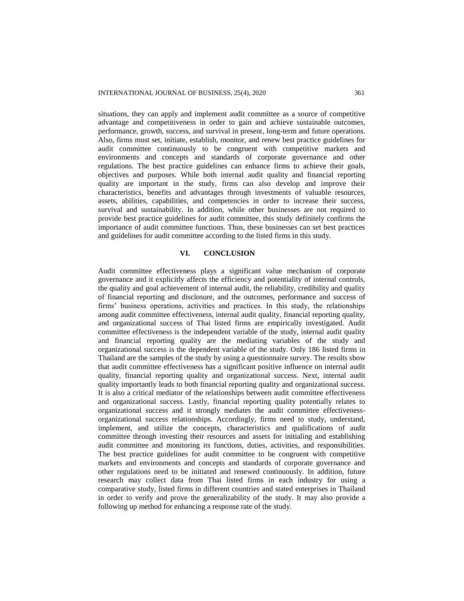situations, they can apply and implement audit committee as a source of competitive advantage and competitiveness in order to gain and achieve sustainable outcomes, performance, growth, success, and survival in present, long-term and future operations. Also, firms must set, initiate, establish, monitor, and renew best practice guidelines for audit committee continuously to be congruent with competitive markets and environments and concepts and standards of corporate governance and other regulations. The best practice guidelines can enhance firms to achieve their goals, objectives and purposes. While both internal audit quality and financial reporting quality are important in the study, firms can also develop and improve their characteristics, benefits and advantages through investments of valuable resources, assets, abilities, capabilities, and competencies in order to increase their success, survival and sustainability. In addition, while other businesses are not required to provide best practice guidelines for audit committee, this study definitely confirms the importance of audit committee functions. Thus, these businesses can set best practices and guidelines for audit committee according to the listed firms in this study.

#### **VI. CONCLUSION**

Audit committee effectiveness plays a significant value mechanism of corporate governance and it explicitly affects the efficiency and potentiality of internal controls, the quality and goal achievement of internal audit, the reliability, credibility and quality of financial reporting and disclosure, and the outcomes, performance and success of firms' business operations, activities and practices. In this study, the relationships among audit committee effectiveness, internal audit quality, financial reporting quality, and organizational success of Thai listed firms are empirically investigated. Audit committee effectiveness is the independent variable of the study, internal audit quality and financial reporting quality are the mediating variables of the study and organizational success is the dependent variable of the study. Only 186 listed firms in Thailand are the samples of the study by using a questionnaire survey. The results show that audit committee effectiveness has a significant positive influence on internal audit quality, financial reporting quality and organizational success. Next, internal audit quality importantly leads to both financial reporting quality and organizational success. It is also a critical mediator of the relationships between audit committee effectiveness and organizational success. Lastly, financial reporting quality potentially relates to organizational success and it strongly mediates the audit committee effectivenessorganizational success relationships. Accordingly, firms need to study, understand, implement, and utilize the concepts, characteristics and qualifications of audit committee through investing their resources and assets for initialing and establishing audit committee and monitoring its functions, duties, activities, and responsibilities. The best practice guidelines for audit committee to be congruent with competitive markets and environments and concepts and standards of corporate governance and other regulations need to be initiated and renewed continuously. In addition, future research may collect data from Thai listed firms in each industry for using a comparative study, listed firms in different countries and stated enterprises in Thailand in order to verify and prove the generalizability of the study. It may also provide a following up method for enhancing a response rate of the study.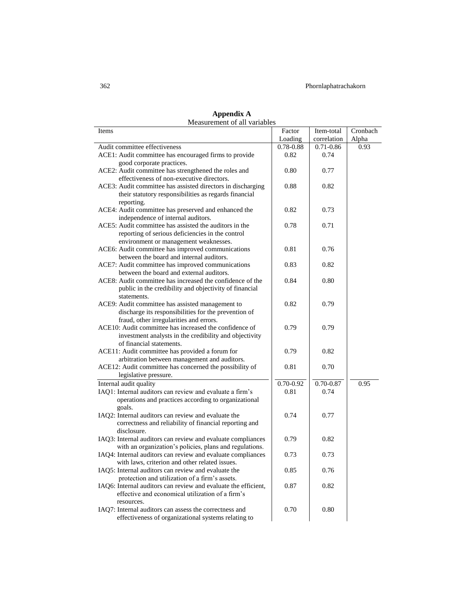# 362 Phornlaphatrachakorn

| <b>NEASUREMENT OF ALL VALIADIES</b>                                                                              |               |               |          |
|------------------------------------------------------------------------------------------------------------------|---------------|---------------|----------|
| Items                                                                                                            | Factor        | Item-total    | Cronbach |
|                                                                                                                  | Loading       | correlation   | Alpha    |
| Audit committee effectiveness                                                                                    | 0.78-0.88     | $0.71 - 0.86$ | 0.93     |
| ACE1: Audit committee has encouraged firms to provide                                                            | 0.82          | 0.74          |          |
| good corporate practices.                                                                                        |               |               |          |
| ACE2: Audit committee has strengthened the roles and                                                             | 0.80          | 0.77          |          |
| effectiveness of non-executive directors.                                                                        |               |               |          |
| ACE3: Audit committee has assisted directors in discharging                                                      | 0.88          | 0.82          |          |
| their statutory responsibilities as regards financial                                                            |               |               |          |
| reporting.                                                                                                       |               |               |          |
| ACE4: Audit committee has preserved and enhanced the                                                             | 0.82          | 0.73          |          |
| independence of internal auditors.                                                                               |               |               |          |
| ACE5: Audit committee has assisted the auditors in the                                                           | 0.78          | 0.71          |          |
| reporting of serious deficiencies in the control                                                                 |               |               |          |
| environment or management weaknesses.                                                                            |               |               |          |
| ACE6: Audit committee has improved communications                                                                | 0.81          | 0.76          |          |
| between the board and internal auditors.                                                                         |               |               |          |
| ACE7: Audit committee has improved communications                                                                | 0.83          | 0.82          |          |
| between the board and external auditors.                                                                         |               |               |          |
| ACE8: Audit committee has increased the confidence of the                                                        | 0.84          | 0.80          |          |
| public in the credibility and objectivity of financial                                                           |               |               |          |
| statements.                                                                                                      |               |               |          |
| ACE9: Audit committee has assisted management to                                                                 | 0.82          | 0.79          |          |
| discharge its responsibilities for the prevention of                                                             |               |               |          |
| fraud, other irregularities and errors.                                                                          |               |               |          |
|                                                                                                                  | 0.79          |               |          |
| ACE10: Audit committee has increased the confidence of<br>investment analysts in the credibility and objectivity |               | 0.79          |          |
|                                                                                                                  |               |               |          |
| of financial statements.                                                                                         |               |               |          |
| ACE11: Audit committee has provided a forum for                                                                  | 0.79          | 0.82          |          |
| arbitration between management and auditors.                                                                     |               |               |          |
| ACE12: Audit committee has concerned the possibility of                                                          | 0.81          | 0.70          |          |
| legislative pressure.                                                                                            |               |               |          |
| Internal audit quality                                                                                           | $0.70 - 0.92$ | $0.70 - 0.87$ | 0.95     |
| IAQ1: Internal auditors can review and evaluate a firm's                                                         | 0.81          | 0.74          |          |
| operations and practices according to organizational                                                             |               |               |          |
| goals.                                                                                                           |               |               |          |
| IAQ2: Internal auditors can review and evaluate the                                                              | 0.74          | 0.77          |          |
| correctness and reliability of financial reporting and                                                           |               |               |          |
| disclosure.                                                                                                      |               |               |          |
| IAQ3: Internal auditors can review and evaluate compliances                                                      | 0.79          | 0.82          |          |
| with an organization's policies, plans and regulations.                                                          |               |               |          |
| IAQ4: Internal auditors can review and evaluate compliances                                                      | 0.73          | 0.73          |          |
| with laws, criterion and other related issues.                                                                   |               |               |          |
| IAQ5: Internal auditors can review and evaluate the                                                              | 0.85          | 0.76          |          |
| protection and utilization of a firm's assets.                                                                   |               |               |          |
| IAQ6: Internal auditors can review and evaluate the efficient,                                                   | 0.87          | 0.82          |          |
| effective and economical utilization of a firm's                                                                 |               |               |          |
| resources.                                                                                                       |               |               |          |
| IAQ7: Internal auditors can assess the correctness and                                                           | 0.70          | 0.80          |          |
| effectiveness of organizational systems relating to                                                              |               |               |          |
|                                                                                                                  |               |               |          |

**Appendix A** Measurement of all variables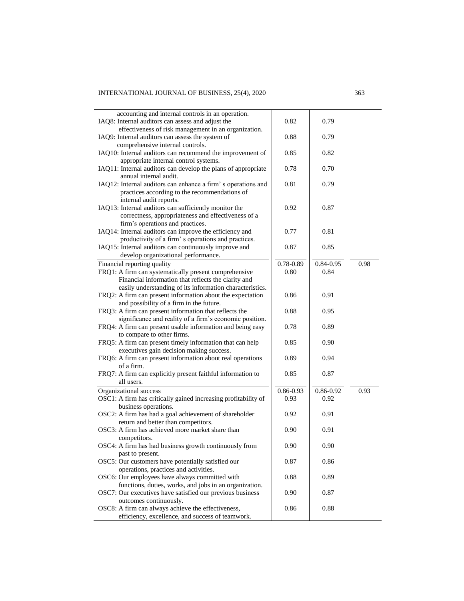| accounting and internal controls in an operation.                            |               |               |      |
|------------------------------------------------------------------------------|---------------|---------------|------|
| IAQ8: Internal auditors can assess and adjust the                            | 0.82          | 0.79          |      |
| effectiveness of risk management in an organization.                         |               |               |      |
| IAQ9: Internal auditors can assess the system of                             | 0.88          | 0.79          |      |
| comprehensive internal controls.                                             |               |               |      |
| IAQ10: Internal auditors can recommend the improvement of                    | 0.85          | 0.82          |      |
| appropriate internal control systems.                                        |               |               |      |
| IAQ11: Internal auditors can develop the plans of appropriate                | 0.78          | 0.70          |      |
| annual internal audit.                                                       |               |               |      |
| IAQ12: Internal auditors can enhance a firm's operations and                 | 0.81          | 0.79          |      |
| practices according to the recommendations of                                |               |               |      |
| internal audit reports.                                                      |               |               |      |
| IAQ13: Internal auditors can sufficiently monitor the                        | 0.92          | 0.87          |      |
| correctness, appropriateness and effectiveness of a                          |               |               |      |
| firm's operations and practices.                                             |               |               |      |
| IAQ14: Internal auditors can improve the efficiency and                      | 0.77          | 0.81          |      |
| productivity of a firm's operations and practices.                           |               |               |      |
|                                                                              | 0.87          | 0.85          |      |
| IAQ15: Internal auditors can continuously improve and                        |               |               |      |
| develop organizational performance.                                          |               |               |      |
| Financial reporting quality                                                  | $0.78 - 0.89$ | $0.84 - 0.95$ | 0.98 |
| FRQ1: A firm can systematically present comprehensive                        | 0.80          | 0.84          |      |
| Financial information that reflects the clarity and                          |               |               |      |
| easily understanding of its information characteristics.                     |               |               |      |
| FRQ2: A firm can present information about the expectation                   | 0.86          | 0.91          |      |
| and possibility of a firm in the future.                                     |               |               |      |
| FRQ3: A firm can present information that reflects the                       | 0.88          | 0.95          |      |
| significance and reality of a firm's economic position.                      |               |               |      |
| FRQ4: A firm can present usable information and being easy                   | 0.78          | 0.89          |      |
| to compare to other firms.                                                   |               |               |      |
| FRQ5: A firm can present timely information that can help                    | 0.85          | 0.90          |      |
| executives gain decision making success.                                     |               |               |      |
| FRQ6: A firm can present information about real operations                   | 0.89          | 0.94          |      |
| of a firm.                                                                   |               |               |      |
| FRQ7: A firm can explicitly present faithful information to                  | 0.85          | 0.87          |      |
| all users.                                                                   |               |               |      |
| Organizational success                                                       | 0.86-0.93     | $0.86 - 0.92$ | 0.93 |
|                                                                              | 0.93          | 0.92          |      |
| OSC1: A firm has critically gained increasing profitability of               |               |               |      |
| business operations.                                                         |               |               |      |
| OSC2: A firm has had a goal achievement of shareholder                       | 0.92          | 0.91          |      |
| return and better than competitors.                                          |               |               |      |
| OSC3: A firm has achieved more market share than                             | 0.90          | 0.91          |      |
| competitors.                                                                 |               |               |      |
| OSC4: A firm has had business growth continuously from                       | 0.90          | 0.90          |      |
| past to present.                                                             |               |               |      |
| OSC5: Our customers have potentially satisfied our                           | 0.87          | 0.86          |      |
| operations, practices and activities.                                        |               |               |      |
| OSC6: Our employees have always committed with                               | 0.88          | 0.89          |      |
| functions, duties, works, and jobs in an organization.                       |               |               |      |
|                                                                              |               |               |      |
|                                                                              |               |               |      |
| OSC7: Our executives have satisfied our previous business                    | 0.90          | 0.87          |      |
| outcomes continuously.<br>OSC8: A firm can always achieve the effectiveness, | 0.86          | 0.88          |      |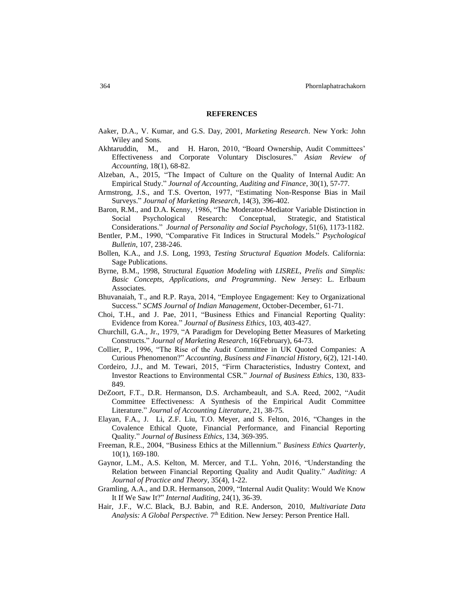#### **REFERENCES**

- Aaker, D.A., V. Kumar, and G.S. Day, 2001, *Marketing Research*. New York: John Wiley and Sons.
- Akhtaruddin, M., and H. Haron, 2010, "Board Ownership, Audit Committees' Effectiveness and Corporate Voluntary Disclosures." *Asian Review of Accounting*, 18(1), 68-82.
- Alzeban, A., 2015, "The Impact of Culture on the Quality of Internal Audit: An Empirical Study." *Journal of Accounting, Auditing and Finance*, 30(1), 57-77.
- Armstrong, J.S., and T.S. Overton, 1977, "Estimating Non-Response Bias in Mail Surveys." *Journal of Marketing Research*, 14(3), 396-402.
- Baron, R.M., and D.A. Kenny, 1986, "The Moderator-Mediator Variable Distinction in Social Psychological Research: Conceptual, Strategic, and Statistical Considerations." *Journal of Personality and Social Psychology*, 51(6), 1173-1182.
- Bentler, P.M., 1990, "Comparative Fit Indices in Structural Models." *Psychological Bulletin*, 107, 238-246.
- Bollen, K.A., and J.S. Long, 1993, *Testing Structural Equation Models*. California: Sage Publications.
- Byrne, B.M., 1998, Structural *Equation Modeling with LISREL, Prelis and Simplis: Basic Concepts, Applications, and Programming*. New Jersey: L. Erlbaum Associates.
- Bhuvanaiah, T., and R.P. Raya, 2014, "Employee Engagement: Key to Organizational Success." *SCMS Journal of Indian Management*, October-December, 61-71.
- Choi, T.H., and J. Pae, 2011, "Business Ethics and Financial Reporting Quality: Evidence from Korea." *Journal of Business Ethics*, 103, 403-427.
- Churchill, G.A., Jr., 1979, "A Paradigm for Developing Better Measures of Marketing Constructs." *Journal of Marketing Research*, 16(February), 64-73.
- Collier, P., 1996, "The Rise of the Audit Committee in UK Quoted Companies: A Curious Phenomenon?" *Accounting, Business and Financial History*, 6(2), 121-140.
- Cordeiro, J.J., and M. Tewari, 2015, "Firm Characteristics, Industry Context, and Investor Reactions to Environmental CSR." *Journal of Business Ethics*, 130, 833- 849.
- DeZoort, F.T., D.R. Hermanson, D.S. Archambeault, and S.A. Reed, 2002, "Audit Committee Effectiveness: A Synthesis of the Empirical Audit Committee Literature." *Journal of Accounting Literature*, 21, 38-75.
- Elayan, F.A., J. Li, Z.F. Liu, T.O. Meyer, and S. Felton, 2016, "Changes in the Covalence Ethical Quote, Financial Performance, and Financial Reporting Quality." *Journal of Business Ethics*, 134, 369-395.
- Freeman, R.E., 2004, "Business Ethics at the Millennium." *Business Ethics Quarterly*, 10(1), 169-180.
- Gaynor, L.M., A.S. Kelton, M. Mercer, and T.L. Yohn, 2016, "Understanding the Relation between Financial Reporting Quality and Audit Quality." *Auditing: A Journal of Practice and Theory*, 35(4), 1-22.
- Gramling, A.A., and D.R. Hermanson, 2009, "Internal Audit Quality: Would We Know It If We Saw It?" *Internal Auditing*, 24(1), 36-39.
- Hair, J.F., W.C. Black, B.J. Babin, and R.E. Anderson, 2010, *Multivariate Data*  Analysis: A Global Perspective. 7<sup>th</sup> Edition. New Jersey: Person Prentice Hall.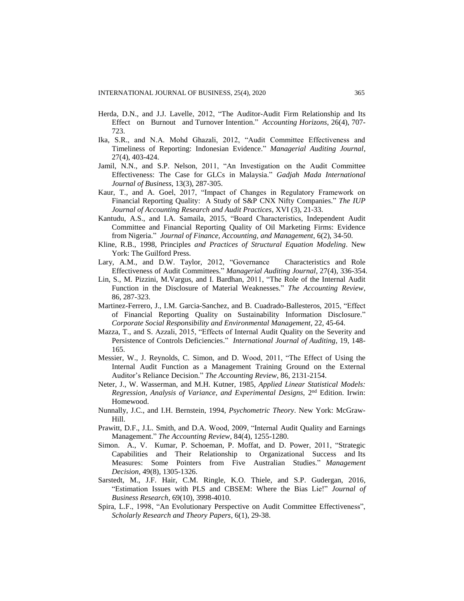- Herda, D.N., and J.J. Lavelle, 2012, "The Auditor-Audit Firm Relationship and Its Effect on Burnout and Turnover Intention." *Accounting Horizons*, 26(4), 707- 723.
- Ika, S.R., and N.A. Mohd Ghazali, 2012, "Audit Committee Effectiveness and Timeliness of Reporting: Indonesian Evidence." *Managerial Auditing Journal*, 27(4), 403-424.
- Jamil, N.N., and S.P. Nelson, 2011, "An Investigation on the Audit Committee Effectiveness: The Case for GLCs in Malaysia." *Gadjah Mada International Journal of Business*, 13(3), 287-305.
- Kaur, T., and A. Goel, 2017, "Impact of Changes in Regulatory Framework on Financial Reporting Quality: A Study of S&P CNX Nifty Companies." *The IUP Journal of Accounting Research and Audit Practices*, XVI (3), 21-33.
- Kantudu, A.S., and I.A. Samaila, 2015, "Board Characteristics, Independent Audit Committee and Financial Reporting Quality of Oil Marketing Firms: Evidence from Nigeria." *Journal of Finance, Accounting, and Management*, 6(2), 34-50.
- Kline, R.B., 1998, Principles *and Practices of Structural Equation Modeling*. New York: The Guilford Press.
- Lary, A.M., and D.W. Taylor, 2012, "Governance Characteristics and Role Effectiveness of Audit Committees." *Managerial Auditing Journal*, 27(4), 336-354.
- Lin, S., M. Pizzini, M.Vargus, and I. Bardhan, 2011, "The Role of the Internal Audit Function in the Disclosure of Material Weaknesses." *The Accounting Review*, 86, 287-323.
- Martinez-Ferrero, J., I.M. Garcia-Sanchez, and B. Cuadrado-Ballesteros, 2015, "Effect of Financial Reporting Quality on Sustainability Information Disclosure." *Corporate Social Responsibility and Environmental Management*, 22, 45-64.
- Mazza, T., and S. Azzali, 2015, "Effects of Internal Audit Quality on the Severity and Persistence of Controls Deficiencies." *International Journal of Auditing*, 19, 148- 165.
- Messier, W., J. Reynolds, C. Simon, and D. Wood, 2011, "The Effect of Using the Internal Audit Function as a Management Training Ground on the External Auditor's Reliance Decision." *The Accounting Review*, 86, 2131-2154.
- Neter, J., W. Wasserman, and M.H. Kutner, 1985, *Applied Linear Statistical Models:*  Regression, Analysis of Variance, and Experimental Designs, 2<sup>nd</sup> Edition. Irwin: Homewood.
- Nunnally, J.C., and I.H. Bernstein, 1994, *Psychometric Theory*. New York: McGraw-Hill.
- Prawitt, D.F., J.L. Smith, and D.A. Wood, 2009, "Internal Audit Quality and Earnings Management." *The Accounting Review*, 84(4), 1255-1280.
- Simon. A., V. Kumar, P. Schoeman, P. Moffat, and D. Power, 2011, "Strategic Capabilities and Their Relationship to Organizational Success and Its Measures: Some Pointers from Five Australian Studies." *Management Decision*, 49(8), 1305-1326.
- Sarstedt, M., J.F. Hair, C.M. Ringle, K.O. Thiele, and S.P. Gudergan, 2016, "Estimation Issues with PLS and CBSEM: Where the Bias Lie!" *Journal of Business Research*, 69(10), 3998-4010.
- Spira, L.F., 1998, "An Evolutionary Perspective on Audit Committee Effectiveness", *Scholarly Research and Theory Papers*, 6(1), 29-38.